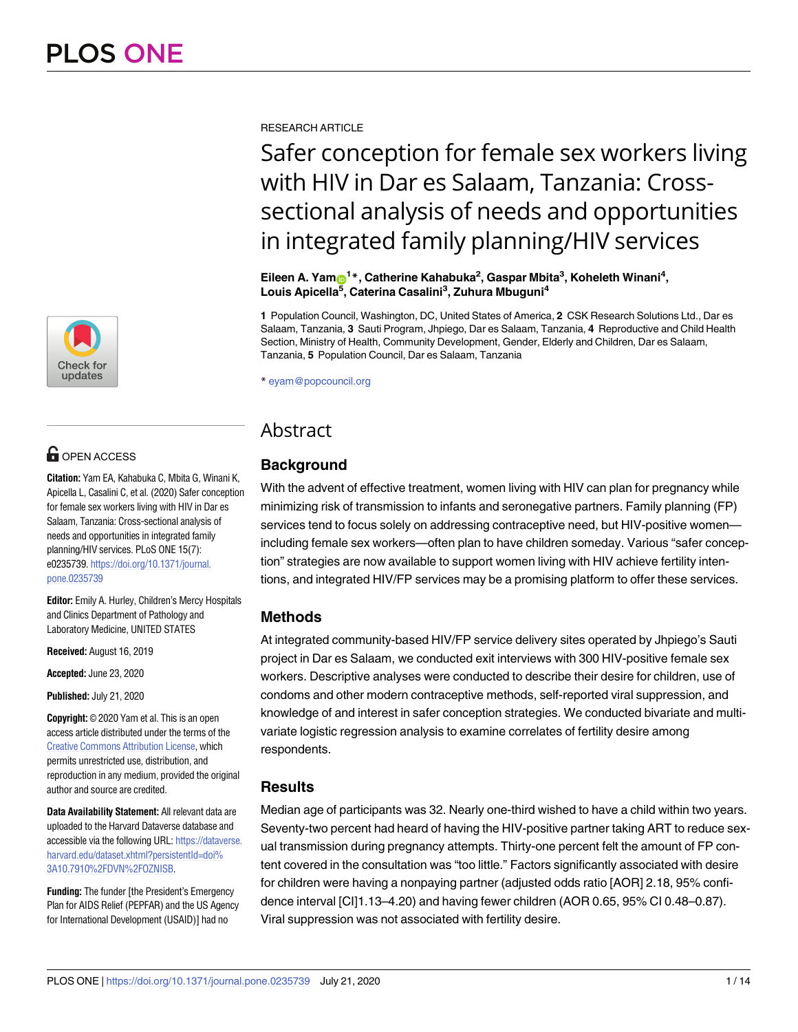

## **OPEN ACCESS**

**Citation:** Yam EA, Kahabuka C, Mbita G, Winani K, Apicella L, Casalini C, et al. (2020) Safer conception for female sex workers living with HIV in Dar es Salaam, Tanzania: Cross-sectional analysis of needs and opportunities in integrated family planning/HIV services. PLoS ONE 15(7): e0235739. [https://doi.org/10.1371/journal.](https://doi.org/10.1371/journal.pone.0235739) [pone.0235739](https://doi.org/10.1371/journal.pone.0235739)

**Editor:** Emily A. Hurley, Children's Mercy Hospitals and Clinics Department of Pathology and Laboratory Medicine, UNITED STATES

**Received:** August 16, 2019

**Accepted:** June 23, 2020

**Published:** July 21, 2020

**Copyright:** © 2020 Yam et al. This is an open access article distributed under the terms of the Creative Commons [Attribution](http://creativecommons.org/licenses/by/4.0/) License, which permits unrestricted use, distribution, and reproduction in any medium, provided the original author and source are credited.

**Data Availability Statement:** All relevant data are uploaded to the Harvard Dataverse database and accessible via the following URL: [https://dataverse.](https://dataverse.harvard.edu/dataset.xhtml?persistentId=doi%3A10.7910%2FDVN%2FOZNISB) [harvard.edu/dataset.xhtml?persistentId=doi%](https://dataverse.harvard.edu/dataset.xhtml?persistentId=doi%3A10.7910%2FDVN%2FOZNISB) [3A10.7910%2FDVN%2FOZNISB](https://dataverse.harvard.edu/dataset.xhtml?persistentId=doi%3A10.7910%2FDVN%2FOZNISB).

**Funding:** The funder [the President's Emergency Plan for AIDS Relief (PEPFAR) and the US Agency for International Development (USAID)] had no

RESEARCH ARTICLE

# Safer conception for female sex workers living with HIV in Dar es Salaam, Tanzania: Crosssectional analysis of needs and opportunities in integrated family planning/HIV services

 $\mathsf{E}$ ileen A. Yam $\mathsf{D}^{1*}$ , Catherine Kahabuka<sup>2</sup>, Gaspar Mbita<sup>3</sup>, Koheleth Winani<sup>4</sup>, **Louis Apicella5 , Caterina Casalini3 , Zuhura Mbuguni4**

**1** Population Council, Washington, DC, United States of America, **2** CSK Research Solutions Ltd., Dar es Salaam, Tanzania, **3** Sauti Program, Jhpiego, Dar es Salaam, Tanzania, **4** Reproductive and Child Health Section, Ministry of Health, Community Development, Gender, Elderly and Children, Dar es Salaam, Tanzania, **5** Population Council, Dar es Salaam, Tanzania

\* eyam@popcouncil.org

## Abstract

## **Background**

With the advent of effective treatment, women living with HIV can plan for pregnancy while minimizing risk of transmission to infants and seronegative partners. Family planning (FP) services tend to focus solely on addressing contraceptive need, but HIV-positive women including female sex workers—often plan to have children someday. Various "safer conception" strategies are now available to support women living with HIV achieve fertility intentions, and integrated HIV/FP services may be a promising platform to offer these services.

## **Methods**

At integrated community-based HIV/FP service delivery sites operated by Jhpiego's Sauti project in Dar es Salaam, we conducted exit interviews with 300 HIV-positive female sex workers. Descriptive analyses were conducted to describe their desire for children, use of condoms and other modern contraceptive methods, self-reported viral suppression, and knowledge of and interest in safer conception strategies. We conducted bivariate and multivariate logistic regression analysis to examine correlates of fertility desire among respondents.

## **Results**

Median age of participants was 32. Nearly one-third wished to have a child within two years. Seventy-two percent had heard of having the HIV-positive partner taking ART to reduce sexual transmission during pregnancy attempts. Thirty-one percent felt the amount of FP content covered in the consultation was "too little." Factors significantly associated with desire for children were having a nonpaying partner (adjusted odds ratio [AOR] 2.18, 95% confidence interval [CI]1.13–4.20) and having fewer children (AOR 0.65, 95% CI 0.48–0.87). Viral suppression was not associated with fertility desire.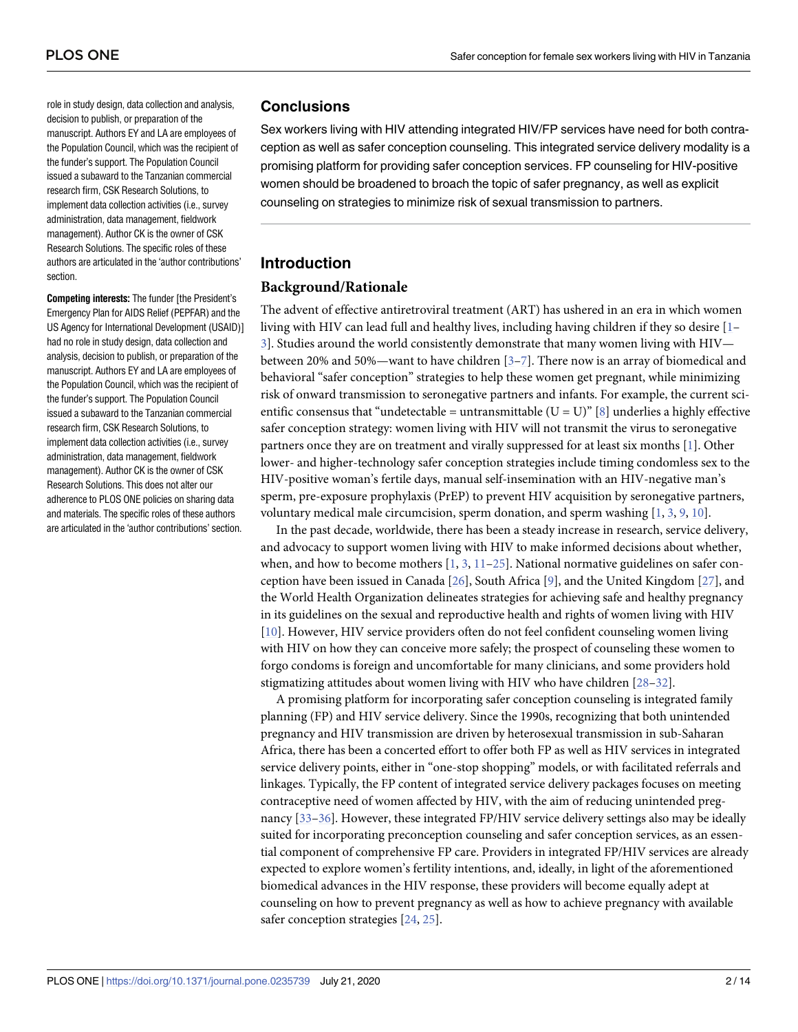<span id="page-1-0"></span>role in study design, data collection and analysis, decision to publish, or preparation of the manuscript. Authors EY and LA are employees of the Population Council, which was the recipient of the funder's support. The Population Council issued a subaward to the Tanzanian commercial research firm, CSK Research Solutions, to implement data collection activities (i.e., survey administration, data management, fieldwork management). Author CK is the owner of CSK Research Solutions. The specific roles of these authors are articulated in the 'author contributions' section.

**Competing interests:** The funder [the President's Emergency Plan for AIDS Relief (PEPFAR) and the US Agency for International Development (USAID)] had no role in study design, data collection and analysis, decision to publish, or preparation of the manuscript. Authors EY and LA are employees of the Population Council, which was the recipient of the funder's support. The Population Council issued a subaward to the Tanzanian commercial research firm, CSK Research Solutions, to implement data collection activities (i.e., survey administration, data management, fieldwork management). Author CK is the owner of CSK Research Solutions. This does not alter our adherence to PLOS ONE policies on sharing data and materials. The specific roles of these authors are articulated in the 'author contributions' section.

## **Conclusions**

Sex workers living with HIV attending integrated HIV/FP services have need for both contraception as well as safer conception counseling. This integrated service delivery modality is a promising platform for providing safer conception services. FP counseling for HIV-positive women should be broadened to broach the topic of safer pregnancy, as well as explicit counseling on strategies to minimize risk of sexual transmission to partners.

## **Introduction**

## **Background/Rationale**

The advent of effective antiretroviral treatment (ART) has ushered in an era in which women living with HIV can lead full and healthy lives, including having children if they so desire [[1–](#page-10-0) [3\]](#page-10-0). Studies around the world consistently demonstrate that many women living with HIV between 20% and 50%—want to have children [[3–7\]](#page-10-0). There now is an array of biomedical and behavioral "safer conception" strategies to help these women get pregnant, while minimizing risk of onward transmission to seronegative partners and infants. For example, the current scientific consensus that "undetectable = untransmittable ( $U = U$ )" [\[8\]](#page-10-0) underlies a highly effective safer conception strategy: women living with HIV will not transmit the virus to seronegative partners once they are on treatment and virally suppressed for at least six months [\[1](#page-10-0)]. Other lower- and higher-technology safer conception strategies include timing condomless sex to the HIV-positive woman's fertile days, manual self-insemination with an HIV-negative man's sperm, pre-exposure prophylaxis (PrEP) to prevent HIV acquisition by seronegative partners, voluntary medical male circumcision, sperm donation, and sperm washing [\[1,](#page-10-0) [3](#page-10-0), [9](#page-10-0), [10](#page-10-0)].

In the past decade, worldwide, there has been a steady increase in research, service delivery, and advocacy to support women living with HIV to make informed decisions about whether, when, and how to become mothers  $[1, 3, 11-25]$  $[1, 3, 11-25]$  $[1, 3, 11-25]$  $[1, 3, 11-25]$  $[1, 3, 11-25]$  $[1, 3, 11-25]$ . National normative guidelines on safer conception have been issued in Canada [\[26\]](#page-11-0), South Africa [\[9](#page-10-0)], and the United Kingdom [[27](#page-11-0)], and the World Health Organization delineates strategies for achieving safe and healthy pregnancy in its guidelines on the sexual and reproductive health and rights of women living with HIV [\[10\]](#page-10-0). However, HIV service providers often do not feel confident counseling women living with HIV on how they can conceive more safely; the prospect of counseling these women to forgo condoms is foreign and uncomfortable for many clinicians, and some providers hold stigmatizing attitudes about women living with HIV who have children [[28–32\]](#page-11-0).

A promising platform for incorporating safer conception counseling is integrated family planning (FP) and HIV service delivery. Since the 1990s, recognizing that both unintended pregnancy and HIV transmission are driven by heterosexual transmission in sub-Saharan Africa, there has been a concerted effort to offer both FP as well as HIV services in integrated service delivery points, either in "one-stop shopping" models, or with facilitated referrals and linkages. Typically, the FP content of integrated service delivery packages focuses on meeting contraceptive need of women affected by HIV, with the aim of reducing unintended pregnancy [[33](#page-11-0)[–36\]](#page-12-0). However, these integrated FP/HIV service delivery settings also may be ideally suited for incorporating preconception counseling and safer conception services, as an essential component of comprehensive FP care. Providers in integrated FP/HIV services are already expected to explore women's fertility intentions, and, ideally, in light of the aforementioned biomedical advances in the HIV response, these providers will become equally adept at counseling on how to prevent pregnancy as well as how to achieve pregnancy with available safer conception strategies [\[24,](#page-11-0) [25\]](#page-11-0).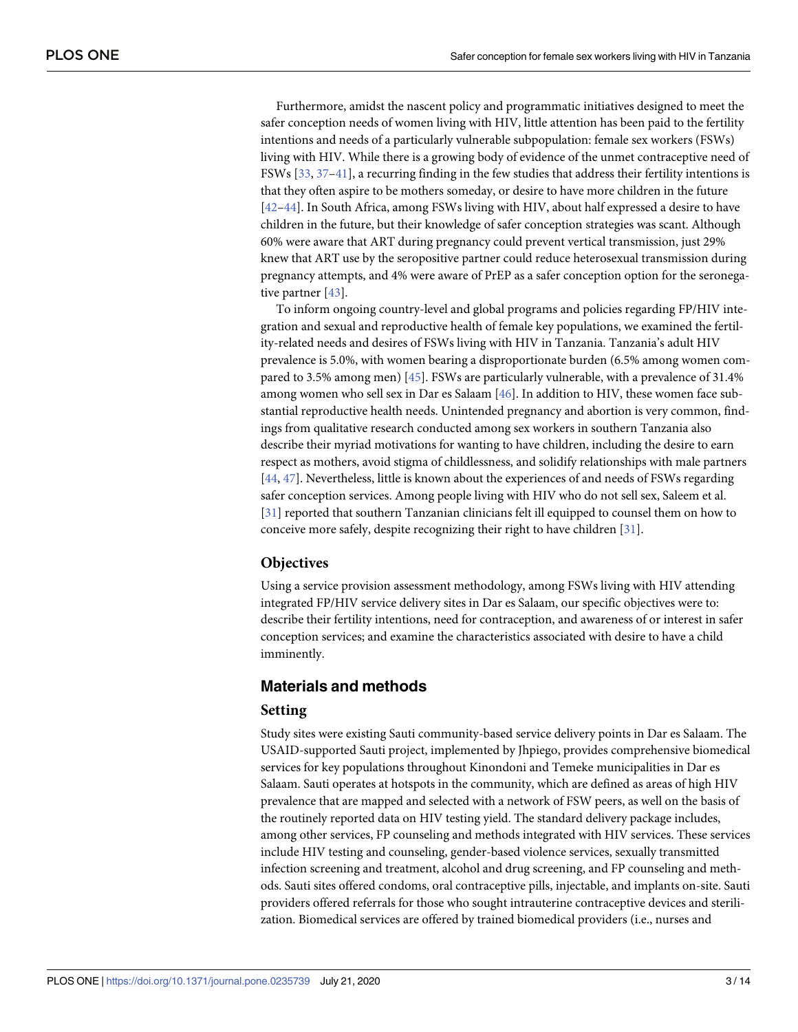<span id="page-2-0"></span>Furthermore, amidst the nascent policy and programmatic initiatives designed to meet the safer conception needs of women living with HIV, little attention has been paid to the fertility intentions and needs of a particularly vulnerable subpopulation: female sex workers (FSWs) living with HIV. While there is a growing body of evidence of the unmet contraceptive need of FSWs [[33](#page-11-0), [37](#page-12-0)–[41](#page-12-0)], a recurring finding in the few studies that address their fertility intentions is that they often aspire to be mothers someday, or desire to have more children in the future [\[42–44\]](#page-12-0). In South Africa, among FSWs living with HIV, about half expressed a desire to have children in the future, but their knowledge of safer conception strategies was scant. Although 60% were aware that ART during pregnancy could prevent vertical transmission, just 29% knew that ART use by the seropositive partner could reduce heterosexual transmission during pregnancy attempts, and 4% were aware of PrEP as a safer conception option for the seronegative partner [[43](#page-12-0)].

To inform ongoing country-level and global programs and policies regarding FP/HIV integration and sexual and reproductive health of female key populations, we examined the fertility-related needs and desires of FSWs living with HIV in Tanzania. Tanzania's adult HIV prevalence is 5.0%, with women bearing a disproportionate burden (6.5% among women compared to 3.5% among men) [[45](#page-12-0)]. FSWs are particularly vulnerable, with a prevalence of 31.4% among women who sell sex in Dar es Salaam [\[46\]](#page-12-0). In addition to HIV, these women face substantial reproductive health needs. Unintended pregnancy and abortion is very common, findings from qualitative research conducted among sex workers in southern Tanzania also describe their myriad motivations for wanting to have children, including the desire to earn respect as mothers, avoid stigma of childlessness, and solidify relationships with male partners [\[44,](#page-12-0) [47\]](#page-12-0). Nevertheless, little is known about the experiences of and needs of FSWs regarding safer conception services. Among people living with HIV who do not sell sex, Saleem et al. [\[31\]](#page-11-0) reported that southern Tanzanian clinicians felt ill equipped to counsel them on how to conceive more safely, despite recognizing their right to have children [[31](#page-11-0)].

#### **Objectives**

Using a service provision assessment methodology, among FSWs living with HIV attending integrated FP/HIV service delivery sites in Dar es Salaam, our specific objectives were to: describe their fertility intentions, need for contraception, and awareness of or interest in safer conception services; and examine the characteristics associated with desire to have a child imminently.

## **Materials and methods**

#### **Setting**

Study sites were existing Sauti community-based service delivery points in Dar es Salaam. The USAID-supported Sauti project, implemented by Jhpiego, provides comprehensive biomedical services for key populations throughout Kinondoni and Temeke municipalities in Dar es Salaam. Sauti operates at hotspots in the community, which are defined as areas of high HIV prevalence that are mapped and selected with a network of FSW peers, as well on the basis of the routinely reported data on HIV testing yield. The standard delivery package includes, among other services, FP counseling and methods integrated with HIV services. These services include HIV testing and counseling, gender-based violence services, sexually transmitted infection screening and treatment, alcohol and drug screening, and FP counseling and methods. Sauti sites offered condoms, oral contraceptive pills, injectable, and implants on-site. Sauti providers offered referrals for those who sought intrauterine contraceptive devices and sterilization. Biomedical services are offered by trained biomedical providers (i.e., nurses and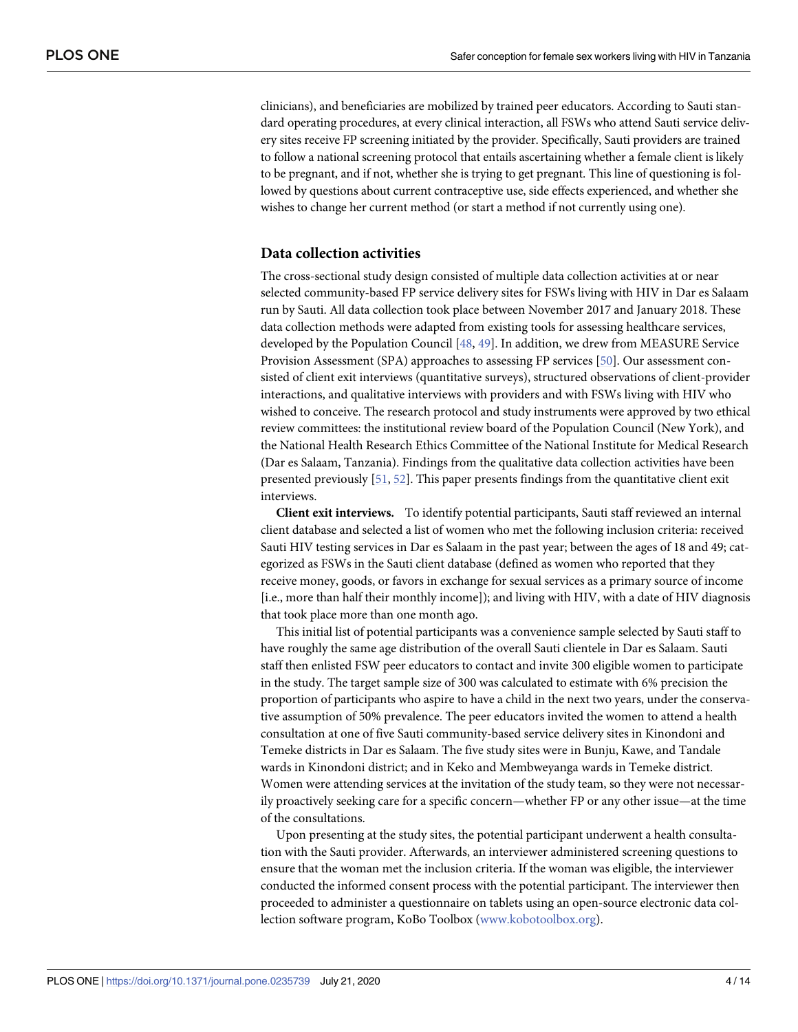<span id="page-3-0"></span>clinicians), and beneficiaries are mobilized by trained peer educators. According to Sauti standard operating procedures, at every clinical interaction, all FSWs who attend Sauti service delivery sites receive FP screening initiated by the provider. Specifically, Sauti providers are trained to follow a national screening protocol that entails ascertaining whether a female client is likely to be pregnant, and if not, whether she is trying to get pregnant. This line of questioning is followed by questions about current contraceptive use, side effects experienced, and whether she wishes to change her current method (or start a method if not currently using one).

#### **Data collection activities**

The cross-sectional study design consisted of multiple data collection activities at or near selected community-based FP service delivery sites for FSWs living with HIV in Dar es Salaam run by Sauti. All data collection took place between November 2017 and January 2018. These data collection methods were adapted from existing tools for assessing healthcare services, developed by the Population Council [[48](#page-12-0), [49](#page-12-0)]. In addition, we drew from MEASURE Service Provision Assessment (SPA) approaches to assessing FP services [[50](#page-12-0)]. Our assessment consisted of client exit interviews (quantitative surveys), structured observations of client-provider interactions, and qualitative interviews with providers and with FSWs living with HIV who wished to conceive. The research protocol and study instruments were approved by two ethical review committees: the institutional review board of the Population Council (New York), and the National Health Research Ethics Committee of the National Institute for Medical Research (Dar es Salaam, Tanzania). Findings from the qualitative data collection activities have been presented previously [\[51,](#page-12-0) [52\]](#page-12-0). This paper presents findings from the quantitative client exit interviews.

**Client exit interviews.** To identify potential participants, Sauti staff reviewed an internal client database and selected a list of women who met the following inclusion criteria: received Sauti HIV testing services in Dar es Salaam in the past year; between the ages of 18 and 49; categorized as FSWs in the Sauti client database (defined as women who reported that they receive money, goods, or favors in exchange for sexual services as a primary source of income [i.e., more than half their monthly income]); and living with HIV, with a date of HIV diagnosis that took place more than one month ago.

This initial list of potential participants was a convenience sample selected by Sauti staff to have roughly the same age distribution of the overall Sauti clientele in Dar es Salaam. Sauti staff then enlisted FSW peer educators to contact and invite 300 eligible women to participate in the study. The target sample size of 300 was calculated to estimate with 6% precision the proportion of participants who aspire to have a child in the next two years, under the conservative assumption of 50% prevalence. The peer educators invited the women to attend a health consultation at one of five Sauti community-based service delivery sites in Kinondoni and Temeke districts in Dar es Salaam. The five study sites were in Bunju, Kawe, and Tandale wards in Kinondoni district; and in Keko and Membweyanga wards in Temeke district. Women were attending services at the invitation of the study team, so they were not necessarily proactively seeking care for a specific concern—whether FP or any other issue—at the time of the consultations.

Upon presenting at the study sites, the potential participant underwent a health consultation with the Sauti provider. Afterwards, an interviewer administered screening questions to ensure that the woman met the inclusion criteria. If the woman was eligible, the interviewer conducted the informed consent process with the potential participant. The interviewer then proceeded to administer a questionnaire on tablets using an open-source electronic data collection software program, KoBo Toolbox ([www.kobotoolbox.org\)](http://www.kobotoolbox.org/).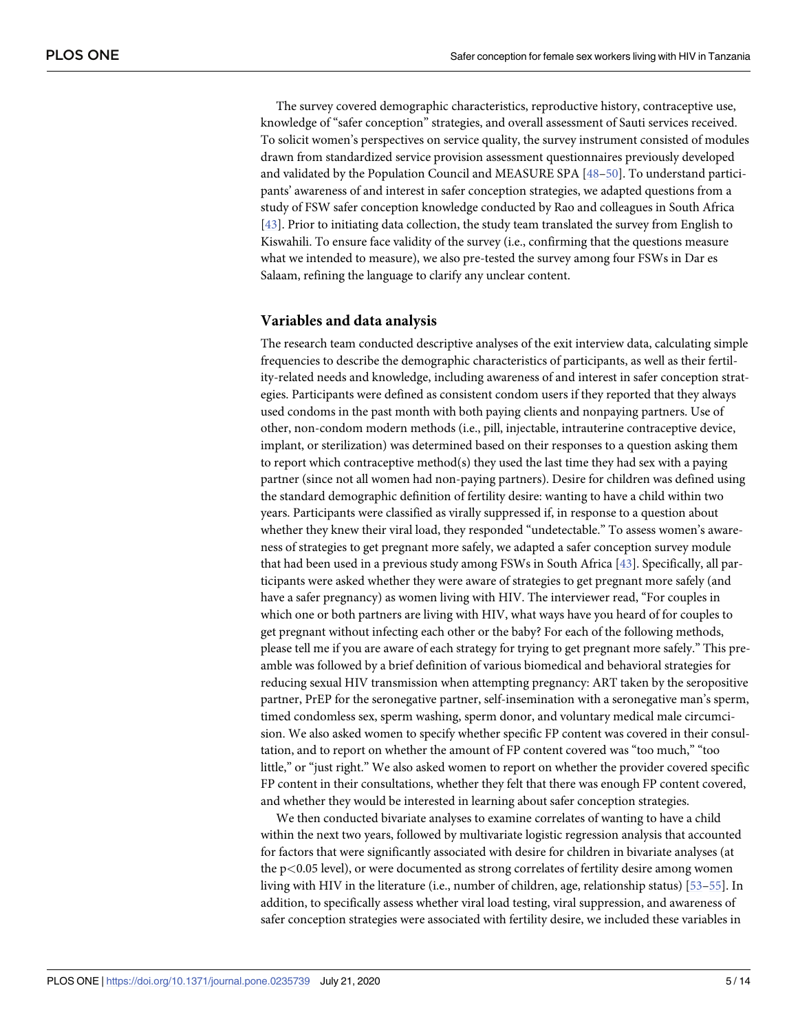<span id="page-4-0"></span>The survey covered demographic characteristics, reproductive history, contraceptive use, knowledge of "safer conception" strategies, and overall assessment of Sauti services received. To solicit women's perspectives on service quality, the survey instrument consisted of modules drawn from standardized service provision assessment questionnaires previously developed and validated by the Population Council and MEASURE SPA [\[48–50](#page-12-0)]. To understand participants' awareness of and interest in safer conception strategies, we adapted questions from a study of FSW safer conception knowledge conducted by Rao and colleagues in South Africa [\[43\]](#page-12-0). Prior to initiating data collection, the study team translated the survey from English to Kiswahili. To ensure face validity of the survey (i.e., confirming that the questions measure what we intended to measure), we also pre-tested the survey among four FSWs in Dar es Salaam, refining the language to clarify any unclear content.

#### **Variables and data analysis**

The research team conducted descriptive analyses of the exit interview data, calculating simple frequencies to describe the demographic characteristics of participants, as well as their fertility-related needs and knowledge, including awareness of and interest in safer conception strategies. Participants were defined as consistent condom users if they reported that they always used condoms in the past month with both paying clients and nonpaying partners. Use of other, non-condom modern methods (i.e., pill, injectable, intrauterine contraceptive device, implant, or sterilization) was determined based on their responses to a question asking them to report which contraceptive method(s) they used the last time they had sex with a paying partner (since not all women had non-paying partners). Desire for children was defined using the standard demographic definition of fertility desire: wanting to have a child within two years. Participants were classified as virally suppressed if, in response to a question about whether they knew their viral load, they responded "undetectable." To assess women's awareness of strategies to get pregnant more safely, we adapted a safer conception survey module that had been used in a previous study among FSWs in South Africa [[43](#page-12-0)]. Specifically, all participants were asked whether they were aware of strategies to get pregnant more safely (and have a safer pregnancy) as women living with HIV. The interviewer read, "For couples in which one or both partners are living with HIV, what ways have you heard of for couples to get pregnant without infecting each other or the baby? For each of the following methods, please tell me if you are aware of each strategy for trying to get pregnant more safely." This preamble was followed by a brief definition of various biomedical and behavioral strategies for reducing sexual HIV transmission when attempting pregnancy: ART taken by the seropositive partner, PrEP for the seronegative partner, self-insemination with a seronegative man's sperm, timed condomless sex, sperm washing, sperm donor, and voluntary medical male circumcision. We also asked women to specify whether specific FP content was covered in their consultation, and to report on whether the amount of FP content covered was "too much," "too little," or "just right." We also asked women to report on whether the provider covered specific FP content in their consultations, whether they felt that there was enough FP content covered, and whether they would be interested in learning about safer conception strategies.

We then conducted bivariate analyses to examine correlates of wanting to have a child within the next two years, followed by multivariate logistic regression analysis that accounted for factors that were significantly associated with desire for children in bivariate analyses (at the p*<*0.05 level), or were documented as strong correlates of fertility desire among women living with HIV in the literature (i.e., number of children, age, relationship status) [[53](#page-12-0)[–55\]](#page-13-0). In addition, to specifically assess whether viral load testing, viral suppression, and awareness of safer conception strategies were associated with fertility desire, we included these variables in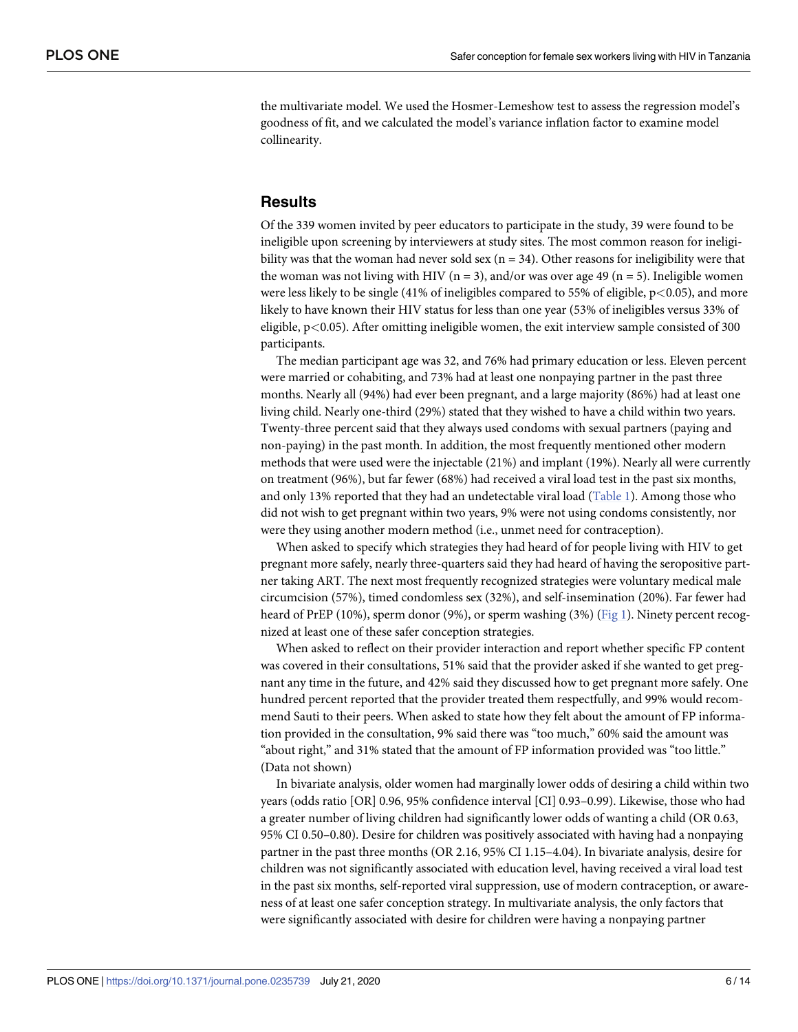<span id="page-5-0"></span>the multivariate model. We used the Hosmer-Lemeshow test to assess the regression model's goodness of fit, and we calculated the model's variance inflation factor to examine model collinearity.

## **Results**

Of the 339 women invited by peer educators to participate in the study, 39 were found to be ineligible upon screening by interviewers at study sites. The most common reason for ineligibility was that the woman had never sold sex  $(n = 34)$ . Other reasons for ineligibility were that the woman was not living with HIV ( $n = 3$ ), and/or was over age 49 ( $n = 5$ ). Ineligible women were less likely to be single (41% of ineligibles compared to 55% of eligible, p*<*0.05), and more likely to have known their HIV status for less than one year (53% of ineligibles versus 33% of eligible, p*<*0.05). After omitting ineligible women, the exit interview sample consisted of 300 participants.

The median participant age was 32, and 76% had primary education or less. Eleven percent were married or cohabiting, and 73% had at least one nonpaying partner in the past three months. Nearly all (94%) had ever been pregnant, and a large majority (86%) had at least one living child. Nearly one-third (29%) stated that they wished to have a child within two years. Twenty-three percent said that they always used condoms with sexual partners (paying and non-paying) in the past month. In addition, the most frequently mentioned other modern methods that were used were the injectable (21%) and implant (19%). Nearly all were currently on treatment (96%), but far fewer (68%) had received a viral load test in the past six months, and only 13% reported that they had an undetectable viral load ([Table](#page-6-0) 1). Among those who did not wish to get pregnant within two years, 9% were not using condoms consistently, nor were they using another modern method (i.e., unmet need for contraception).

When asked to specify which strategies they had heard of for people living with HIV to get pregnant more safely, nearly three-quarters said they had heard of having the seropositive partner taking ART. The next most frequently recognized strategies were voluntary medical male circumcision (57%), timed condomless sex (32%), and self-insemination (20%). Far fewer had heard of PrEP (10%), sperm donor (9%), or sperm washing (3%) [\(Fig](#page-7-0) 1). Ninety percent recognized at least one of these safer conception strategies.

When asked to reflect on their provider interaction and report whether specific FP content was covered in their consultations, 51% said that the provider asked if she wanted to get pregnant any time in the future, and 42% said they discussed how to get pregnant more safely. One hundred percent reported that the provider treated them respectfully, and 99% would recommend Sauti to their peers. When asked to state how they felt about the amount of FP information provided in the consultation, 9% said there was "too much," 60% said the amount was "about right," and 31% stated that the amount of FP information provided was "too little." (Data not shown)

In bivariate analysis, older women had marginally lower odds of desiring a child within two years (odds ratio [OR] 0.96, 95% confidence interval [CI] 0.93–0.99). Likewise, those who had a greater number of living children had significantly lower odds of wanting a child (OR 0.63, 95% CI 0.50–0.80). Desire for children was positively associated with having had a nonpaying partner in the past three months (OR 2.16, 95% CI 1.15–4.04). In bivariate analysis, desire for children was not significantly associated with education level, having received a viral load test in the past six months, self-reported viral suppression, use of modern contraception, or awareness of at least one safer conception strategy. In multivariate analysis, the only factors that were significantly associated with desire for children were having a nonpaying partner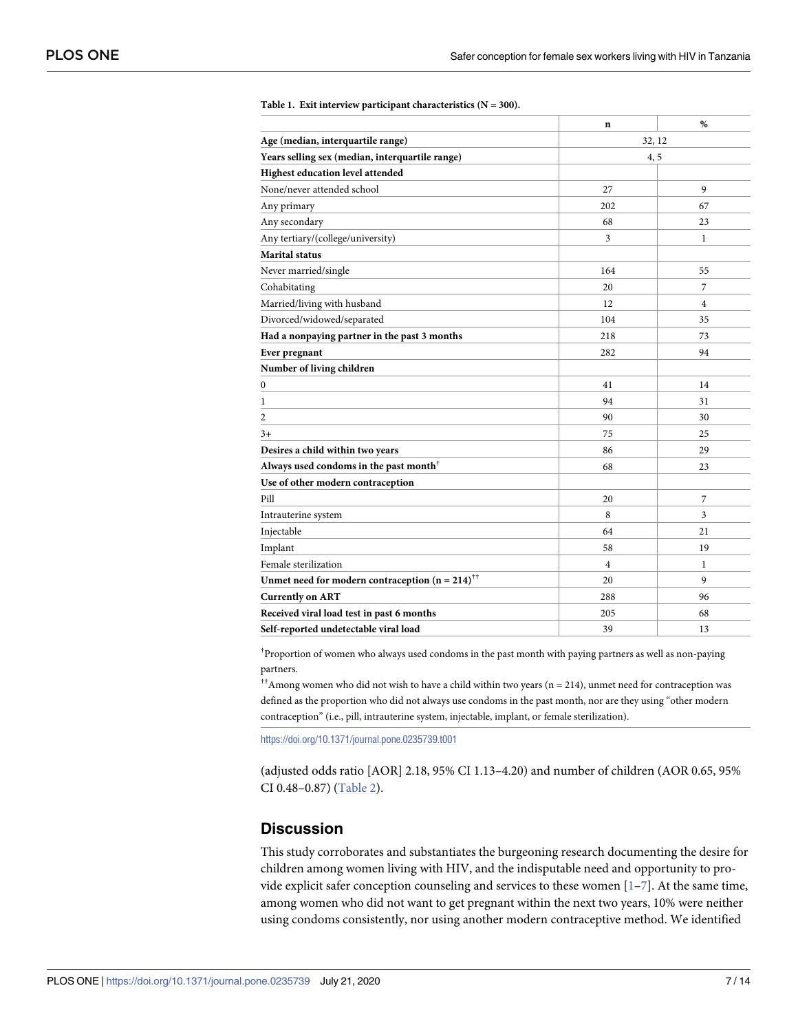|                                                                      | $\mathbf n$    | %              |  |
|----------------------------------------------------------------------|----------------|----------------|--|
| Age (median, interquartile range)                                    |                | 32, 12         |  |
| Years selling sex (median, interquartile range)                      |                | 4,5            |  |
| Highest education level attended                                     |                |                |  |
| None/never attended school                                           | 27             | 9              |  |
| Any primary                                                          | 202            | 67             |  |
| Any secondary                                                        | 68             | 23             |  |
| Any tertiary/(college/university)                                    | 3              | $\mathbf{1}$   |  |
| <b>Marital status</b>                                                |                |                |  |
| Never married/single                                                 | 164            | 55             |  |
| Cohabitating                                                         | 20             | $\overline{7}$ |  |
| Married/living with husband                                          | 12             | $\overline{4}$ |  |
| Divorced/widowed/separated                                           | 104            | 35             |  |
| Had a nonpaying partner in the past 3 months                         | 218            | 73             |  |
| Ever pregnant                                                        | 282            | 94             |  |
| Number of living children                                            |                |                |  |
| $\mathbf{0}$                                                         | 41             | 14             |  |
| 1                                                                    | 94             | 31             |  |
| $\overline{c}$                                                       | 90             | 30             |  |
| $3+$                                                                 | 75             | 25             |  |
| Desires a child within two years                                     | 86             | 29             |  |
| Always used condoms in the past month <sup><math>\bar{}</math></sup> | 68             | 23             |  |
| Use of other modern contraception                                    |                |                |  |
| Pill                                                                 | 20             | 7              |  |
| Intrauterine system                                                  | 8              | 3              |  |
| Injectable                                                           | 64             | 21             |  |
| Implant                                                              | 58             | 19             |  |
| Female sterilization                                                 | $\overline{4}$ | 1              |  |
| Unmet need for modern contraception ( $n = 214$ ) <sup>††</sup>      | 20             | 9              |  |
| <b>Currently on ART</b>                                              | 288            | 96             |  |
| Received viral load test in past 6 months                            | 205            | 68             |  |
| Self-reported undetectable viral load                                | 39             | 13             |  |

#### <span id="page-6-0"></span>**[Table](#page-5-0) 1. Exit interview participant characteristics (N = 300).**

† Proportion of women who always used condoms in the past month with paying partners as well as non-paying partners.

††Among women who did not wish to have a child within two years (n = 214), unmet need for contraception was defined as the proportion who did not always use condoms in the past month, nor are they using "other modern contraception" (i.e., pill, intrauterine system, injectable, implant, or female sterilization).

<https://doi.org/10.1371/journal.pone.0235739.t001>

(adjusted odds ratio [AOR] 2.18, 95% CI 1.13–4.20) and number of children (AOR 0.65, 95% CI 0.48–0.87) [\(Table](#page-7-0) 2).

## **Discussion**

This study corroborates and substantiates the burgeoning research documenting the desire for children among women living with HIV, and the indisputable need and opportunity to provide explicit safer conception counseling and services to these women  $[1-7]$ . At the same time, among women who did not want to get pregnant within the next two years, 10% were neither using condoms consistently, nor using another modern contraceptive method. We identified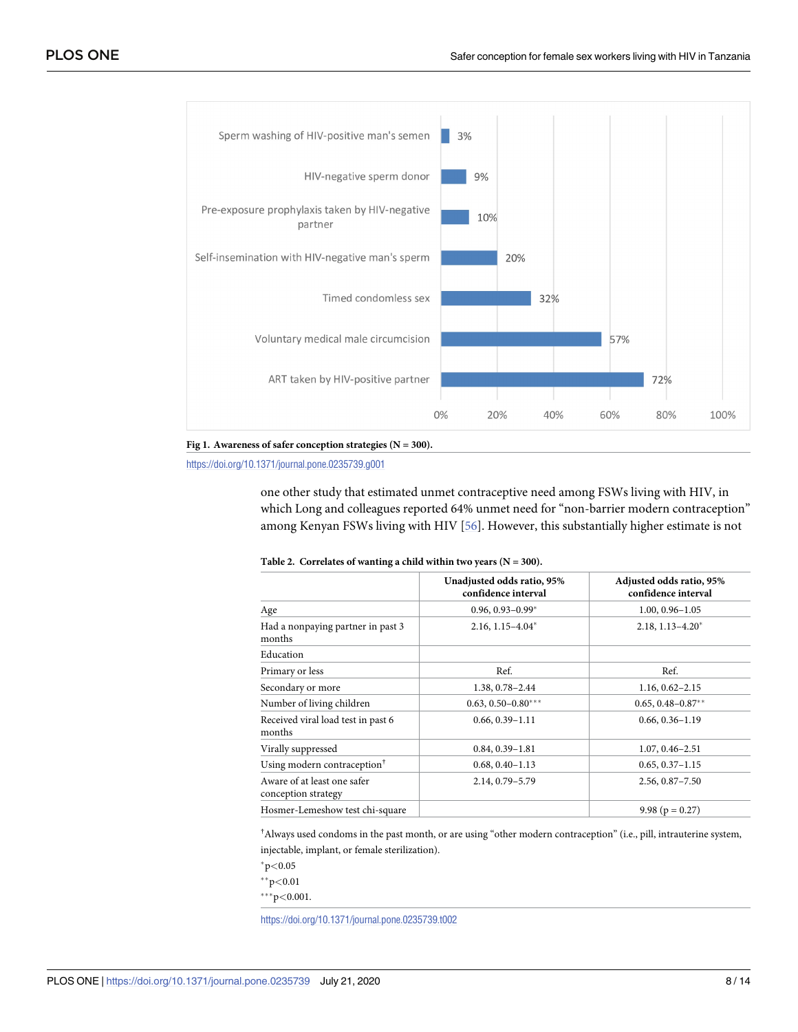<span id="page-7-0"></span>



<https://doi.org/10.1371/journal.pone.0235739.g001>

one other study that estimated unmet contraceptive need among FSWs living with HIV, in which Long and colleagues reported 64% unmet need for "non-barrier modern contraception" among Kenyan FSWs living with HIV [[56](#page-13-0)]. However, this substantially higher estimate is not

|                                                    | Unadjusted odds ratio, 95%<br>confidence interval | Adjusted odds ratio, 95%<br>confidence interval |
|----------------------------------------------------|---------------------------------------------------|-------------------------------------------------|
| Age                                                | $0.96, 0.93 - 0.99*$                              | $1.00, 0.96 - 1.05$                             |
| Had a nonpaying partner in past 3<br>months        | $2.16, 1.15 - 4.04^*$                             | $2.18, 1.13 - 4.20^*$                           |
| Education                                          |                                                   |                                                 |
| Primary or less                                    | Ref.                                              | Ref.                                            |
| Secondary or more                                  | 1.38, 0.78-2.44                                   | $1.16, 0.62 - 2.15$                             |
| Number of living children                          | $0.63, 0.50 - 0.80***$                            | $0.65, 0.48 - 0.87**$                           |
| Received viral load test in past 6<br>months       | $0.66, 0.39 - 1.11$                               | $0.66, 0.36 - 1.19$                             |
| Virally suppressed                                 | $0.84, 0.39 - 1.81$                               | $1.07, 0.46 - 2.51$                             |
| Using modern contraception <sup>†</sup>            | $0.68, 0.40 - 1.13$                               | $0.65, 0.37 - 1.15$                             |
| Aware of at least one safer<br>conception strategy | 2.14, 0.79-5.79                                   | $2.56, 0.87 - 7.50$                             |
| Hosmer-Lemeshow test chi-square                    |                                                   | 9.98 ( $p = 0.27$ )                             |

#### **[Table](#page-6-0) 2. Correlates of wanting a child within two years (N = 300).**

† Always used condoms in the past month, or are using "other modern contraception" (i.e., pill, intrauterine system, injectable, implant, or female sterilization).

�p*<*0.05

��p*<*0.01

���p*<*0.001.

<https://doi.org/10.1371/journal.pone.0235739.t002>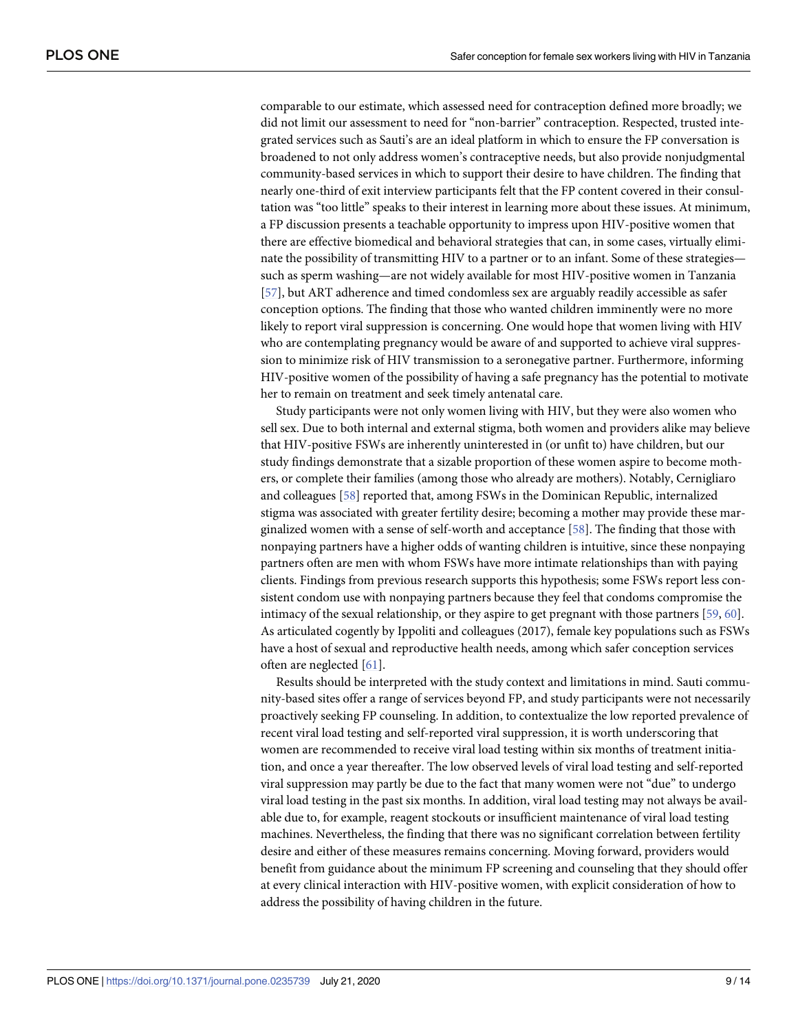<span id="page-8-0"></span>comparable to our estimate, which assessed need for contraception defined more broadly; we did not limit our assessment to need for "non-barrier" contraception. Respected, trusted integrated services such as Sauti's are an ideal platform in which to ensure the FP conversation is broadened to not only address women's contraceptive needs, but also provide nonjudgmental community-based services in which to support their desire to have children. The finding that nearly one-third of exit interview participants felt that the FP content covered in their consultation was "too little" speaks to their interest in learning more about these issues. At minimum, a FP discussion presents a teachable opportunity to impress upon HIV-positive women that there are effective biomedical and behavioral strategies that can, in some cases, virtually eliminate the possibility of transmitting HIV to a partner or to an infant. Some of these strategies such as sperm washing—are not widely available for most HIV-positive women in Tanzania [\[57\]](#page-13-0), but ART adherence and timed condomless sex are arguably readily accessible as safer conception options. The finding that those who wanted children imminently were no more likely to report viral suppression is concerning. One would hope that women living with HIV who are contemplating pregnancy would be aware of and supported to achieve viral suppression to minimize risk of HIV transmission to a seronegative partner. Furthermore, informing HIV-positive women of the possibility of having a safe pregnancy has the potential to motivate her to remain on treatment and seek timely antenatal care.

Study participants were not only women living with HIV, but they were also women who sell sex. Due to both internal and external stigma, both women and providers alike may believe that HIV-positive FSWs are inherently uninterested in (or unfit to) have children, but our study findings demonstrate that a sizable proportion of these women aspire to become mothers, or complete their families (among those who already are mothers). Notably, Cernigliaro and colleagues [[58\]](#page-13-0) reported that, among FSWs in the Dominican Republic, internalized stigma was associated with greater fertility desire; becoming a mother may provide these marginalized women with a sense of self-worth and acceptance [\[58\]](#page-13-0). The finding that those with nonpaying partners have a higher odds of wanting children is intuitive, since these nonpaying partners often are men with whom FSWs have more intimate relationships than with paying clients. Findings from previous research supports this hypothesis; some FSWs report less consistent condom use with nonpaying partners because they feel that condoms compromise the intimacy of the sexual relationship, or they aspire to get pregnant with those partners [\[59,](#page-13-0) [60\]](#page-13-0). As articulated cogently by Ippoliti and colleagues (2017), female key populations such as FSWs have a host of sexual and reproductive health needs, among which safer conception services often are neglected [[61](#page-13-0)].

Results should be interpreted with the study context and limitations in mind. Sauti community-based sites offer a range of services beyond FP, and study participants were not necessarily proactively seeking FP counseling. In addition, to contextualize the low reported prevalence of recent viral load testing and self-reported viral suppression, it is worth underscoring that women are recommended to receive viral load testing within six months of treatment initiation, and once a year thereafter. The low observed levels of viral load testing and self-reported viral suppression may partly be due to the fact that many women were not "due" to undergo viral load testing in the past six months. In addition, viral load testing may not always be available due to, for example, reagent stockouts or insufficient maintenance of viral load testing machines. Nevertheless, the finding that there was no significant correlation between fertility desire and either of these measures remains concerning. Moving forward, providers would benefit from guidance about the minimum FP screening and counseling that they should offer at every clinical interaction with HIV-positive women, with explicit consideration of how to address the possibility of having children in the future.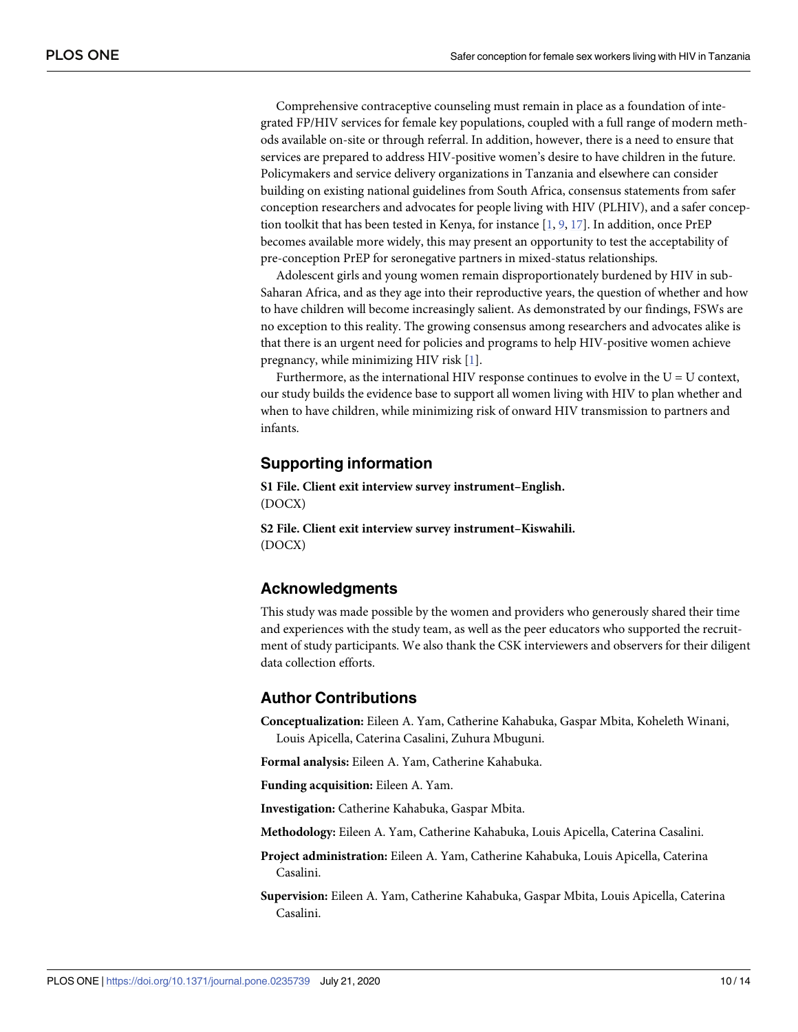<span id="page-9-0"></span>Comprehensive contraceptive counseling must remain in place as a foundation of integrated FP/HIV services for female key populations, coupled with a full range of modern methods available on-site or through referral. In addition, however, there is a need to ensure that services are prepared to address HIV-positive women's desire to have children in the future. Policymakers and service delivery organizations in Tanzania and elsewhere can consider building on existing national guidelines from South Africa, consensus statements from safer conception researchers and advocates for people living with HIV (PLHIV), and a safer conception toolkit that has been tested in Kenya, for instance [\[1](#page-10-0), [9](#page-10-0), [17](#page-11-0)]. In addition, once PrEP becomes available more widely, this may present an opportunity to test the acceptability of pre-conception PrEP for seronegative partners in mixed-status relationships.

Adolescent girls and young women remain disproportionately burdened by HIV in sub-Saharan Africa, and as they age into their reproductive years, the question of whether and how to have children will become increasingly salient. As demonstrated by our findings, FSWs are no exception to this reality. The growing consensus among researchers and advocates alike is that there is an urgent need for policies and programs to help HIV-positive women achieve pregnancy, while minimizing HIV risk [[1\]](#page-10-0).

Furthermore, as the international HIV response continues to evolve in the  $U = U$  context, our study builds the evidence base to support all women living with HIV to plan whether and when to have children, while minimizing risk of onward HIV transmission to partners and infants.

## **Supporting information**

**S1 [File.](http://www.plosone.org/article/fetchSingleRepresentation.action?uri=info:doi/10.1371/journal.pone.0235739.s001) Client exit interview survey instrument–English.** (DOCX)

**S2 [File.](http://www.plosone.org/article/fetchSingleRepresentation.action?uri=info:doi/10.1371/journal.pone.0235739.s002) Client exit interview survey instrument–Kiswahili.** (DOCX)

## **Acknowledgments**

This study was made possible by the women and providers who generously shared their time and experiences with the study team, as well as the peer educators who supported the recruitment of study participants. We also thank the CSK interviewers and observers for their diligent data collection efforts.

## **Author Contributions**

**Conceptualization:** Eileen A. Yam, Catherine Kahabuka, Gaspar Mbita, Koheleth Winani, Louis Apicella, Caterina Casalini, Zuhura Mbuguni.

**Formal analysis:** Eileen A. Yam, Catherine Kahabuka.

**Funding acquisition:** Eileen A. Yam.

**Investigation:** Catherine Kahabuka, Gaspar Mbita.

**Methodology:** Eileen A. Yam, Catherine Kahabuka, Louis Apicella, Caterina Casalini.

- **Project administration:** Eileen A. Yam, Catherine Kahabuka, Louis Apicella, Caterina Casalini.
- **Supervision:** Eileen A. Yam, Catherine Kahabuka, Gaspar Mbita, Louis Apicella, Caterina Casalini.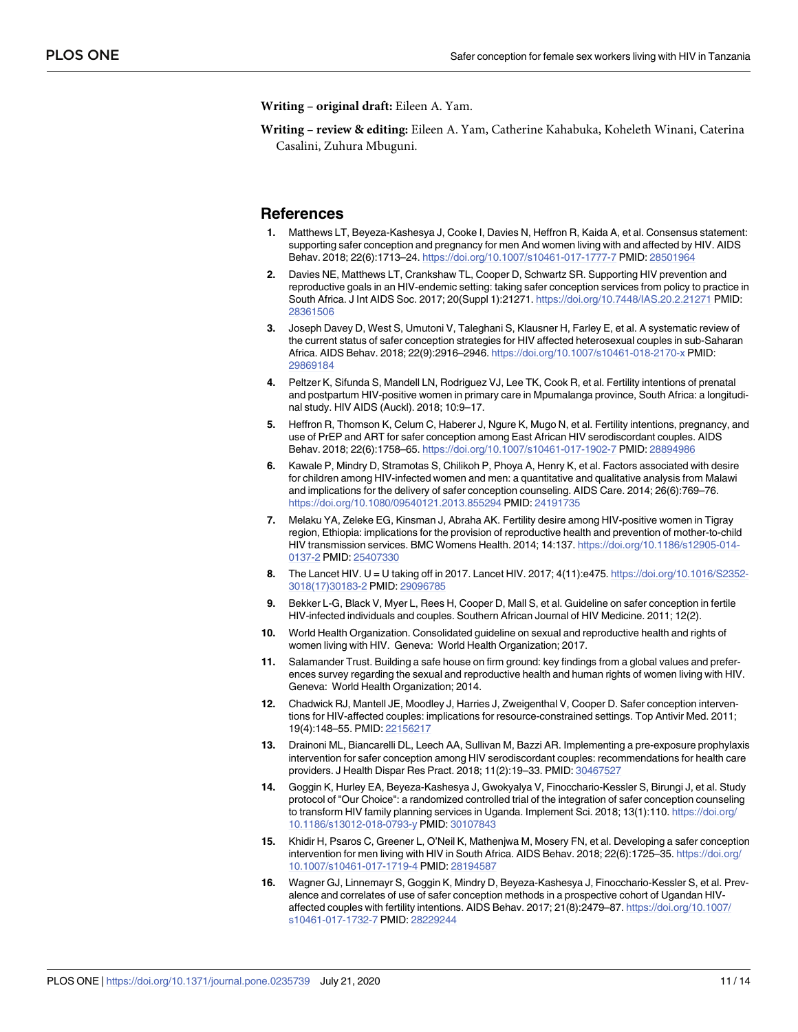<span id="page-10-0"></span>**Writing – original draft:** Eileen A. Yam.

**Writing – review & editing:** Eileen A. Yam, Catherine Kahabuka, Koheleth Winani, Caterina Casalini, Zuhura Mbuguni.

#### **References**

- **[1](#page-1-0).** Matthews LT, Beyeza-Kashesya J, Cooke I, Davies N, Heffron R, Kaida A, et al. Consensus statement: supporting safer conception and pregnancy for men And women living with and affected by HIV. AIDS Behav. 2018; 22(6):1713–24. <https://doi.org/10.1007/s10461-017-1777-7> PMID: [28501964](http://www.ncbi.nlm.nih.gov/pubmed/28501964)
- **2.** Davies NE, Matthews LT, Crankshaw TL, Cooper D, Schwartz SR. Supporting HIV prevention and reproductive goals in an HIV-endemic setting: taking safer conception services from policy to practice in South Africa. J Int AIDS Soc. 2017; 20(Suppl 1):21271. <https://doi.org/10.7448/IAS.20.2.21271> PMID: [28361506](http://www.ncbi.nlm.nih.gov/pubmed/28361506)
- **[3](#page-1-0).** Joseph Davey D, West S, Umutoni V, Taleghani S, Klausner H, Farley E, et al. A systematic review of the current status of safer conception strategies for HIV affected heterosexual couples in sub-Saharan Africa. AIDS Behav. 2018; 22(9):2916–2946. <https://doi.org/10.1007/s10461-018-2170-x> PMID: [29869184](http://www.ncbi.nlm.nih.gov/pubmed/29869184)
- **4.** Peltzer K, Sifunda S, Mandell LN, Rodriguez VJ, Lee TK, Cook R, et al. Fertility intentions of prenatal and postpartum HIV-positive women in primary care in Mpumalanga province, South Africa: a longitudinal study. HIV AIDS (Auckl). 2018; 10:9–17.
- **5.** Heffron R, Thomson K, Celum C, Haberer J, Ngure K, Mugo N, et al. Fertility intentions, pregnancy, and use of PrEP and ART for safer conception among East African HIV serodiscordant couples. AIDS Behav. 2018; 22(6):1758–65. <https://doi.org/10.1007/s10461-017-1902-7> PMID: [28894986](http://www.ncbi.nlm.nih.gov/pubmed/28894986)
- **6.** Kawale P, Mindry D, Stramotas S, Chilikoh P, Phoya A, Henry K, et al. Factors associated with desire for children among HIV-infected women and men: a quantitative and qualitative analysis from Malawi and implications for the delivery of safer conception counseling. AIDS Care. 2014; 26(6):769–76. <https://doi.org/10.1080/09540121.2013.855294> PMID: [24191735](http://www.ncbi.nlm.nih.gov/pubmed/24191735)
- **[7](#page-1-0).** Melaku YA, Zeleke EG, Kinsman J, Abraha AK. Fertility desire among HIV-positive women in Tigray region, Ethiopia: implications for the provision of reproductive health and prevention of mother-to-child HIV transmission services. BMC Womens Health. 2014; 14:137. [https://doi.org/10.1186/s12905-014-](https://doi.org/10.1186/s12905-014-0137-2) [0137-2](https://doi.org/10.1186/s12905-014-0137-2) PMID: [25407330](http://www.ncbi.nlm.nih.gov/pubmed/25407330)
- **[8](#page-1-0).** The Lancet HIV. U = U taking off in 2017. Lancet HIV. 2017; 4(11):e475. [https://doi.org/10.1016/S2352-](https://doi.org/10.1016/S2352-3018(17)30183-2) [3018\(17\)30183-2](https://doi.org/10.1016/S2352-3018(17)30183-2) PMID: [29096785](http://www.ncbi.nlm.nih.gov/pubmed/29096785)
- **[9](#page-1-0).** Bekker L-G, Black V, Myer L, Rees H, Cooper D, Mall S, et al. Guideline on safer conception in fertile HIV-infected individuals and couples. Southern African Journal of HIV Medicine. 2011; 12(2).
- **[10](#page-1-0).** World Health Organization. Consolidated guideline on sexual and reproductive health and rights of women living with HIV. Geneva: World Health Organization; 2017.
- **[11](#page-1-0).** Salamander Trust. Building a safe house on firm ground: key findings from a global values and preferences survey regarding the sexual and reproductive health and human rights of women living with HIV. Geneva: World Health Organization; 2014.
- **12.** Chadwick RJ, Mantell JE, Moodley J, Harries J, Zweigenthal V, Cooper D. Safer conception interventions for HIV-affected couples: implications for resource-constrained settings. Top Antivir Med. 2011; 19(4):148–55. PMID: [22156217](http://www.ncbi.nlm.nih.gov/pubmed/22156217)
- **13.** Drainoni ML, Biancarelli DL, Leech AA, Sullivan M, Bazzi AR. Implementing a pre-exposure prophylaxis intervention for safer conception among HIV serodiscordant couples: recommendations for health care providers. J Health Dispar Res Pract. 2018; 11(2):19–33. PMID: [30467527](http://www.ncbi.nlm.nih.gov/pubmed/30467527)
- **14.** Goggin K, Hurley EA, Beyeza-Kashesya J, Gwokyalya V, Finocchario-Kessler S, Birungi J, et al. Study protocol of "Our Choice": a randomized controlled trial of the integration of safer conception counseling to transform HIV family planning services in Uganda. Implement Sci. 2018; 13(1):110. [https://doi.org/](https://doi.org/10.1186/s13012-018-0793-y) [10.1186/s13012-018-0793-y](https://doi.org/10.1186/s13012-018-0793-y) PMID: [30107843](http://www.ncbi.nlm.nih.gov/pubmed/30107843)
- **15.** Khidir H, Psaros C, Greener L, O'Neil K, Mathenjwa M, Mosery FN, et al. Developing a safer conception intervention for men living with HIV in South Africa. AIDS Behav. 2018; 22(6):1725–35. [https://doi.org/](https://doi.org/10.1007/s10461-017-1719-4) [10.1007/s10461-017-1719-4](https://doi.org/10.1007/s10461-017-1719-4) PMID: [28194587](http://www.ncbi.nlm.nih.gov/pubmed/28194587)
- **16.** Wagner GJ, Linnemayr S, Goggin K, Mindry D, Beyeza-Kashesya J, Finocchario-Kessler S, et al. Prevalence and correlates of use of safer conception methods in a prospective cohort of Ugandan HIVaffected couples with fertility intentions. AIDS Behav. 2017; 21(8):2479–87. [https://doi.org/10.1007/](https://doi.org/10.1007/s10461-017-1732-7) [s10461-017-1732-7](https://doi.org/10.1007/s10461-017-1732-7) PMID: [28229244](http://www.ncbi.nlm.nih.gov/pubmed/28229244)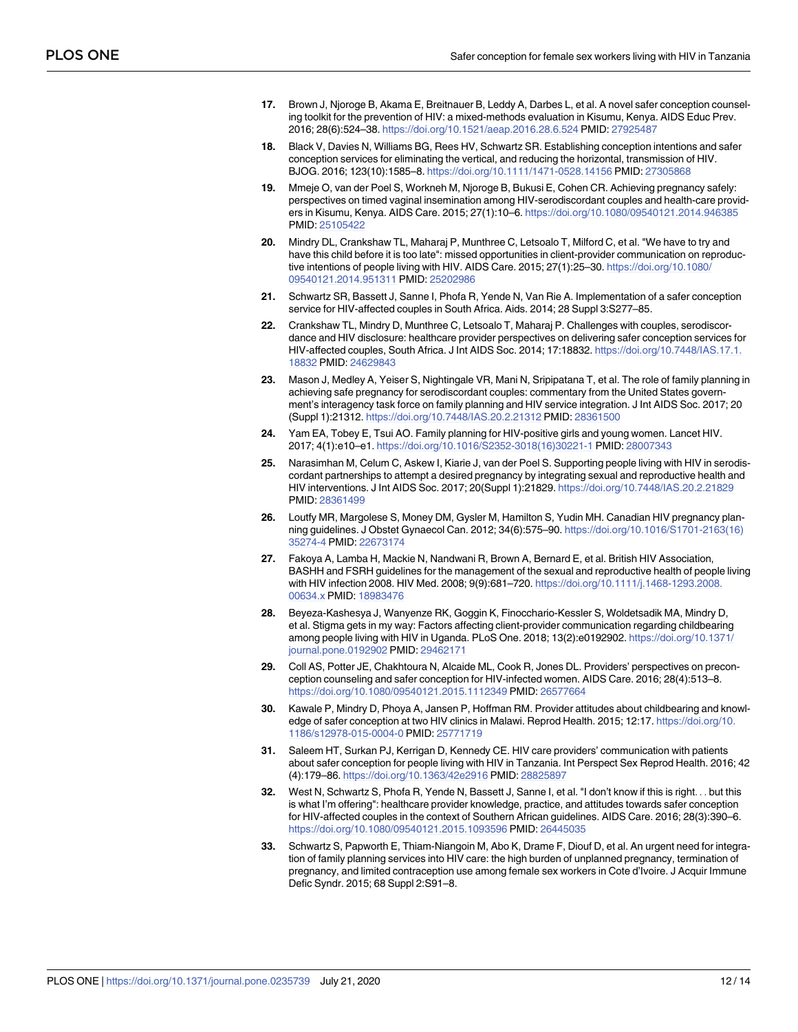- <span id="page-11-0"></span>**[17](#page-9-0).** Brown J, Njoroge B, Akama E, Breitnauer B, Leddy A, Darbes L, et al. A novel safer conception counseling toolkit for the prevention of HIV: a mixed-methods evaluation in Kisumu, Kenya. AIDS Educ Prev. 2016; 28(6):524–38. <https://doi.org/10.1521/aeap.2016.28.6.524> PMID: [27925487](http://www.ncbi.nlm.nih.gov/pubmed/27925487)
- **18.** Black V, Davies N, Williams BG, Rees HV, Schwartz SR. Establishing conception intentions and safer conception services for eliminating the vertical, and reducing the horizontal, transmission of HIV. BJOG. 2016; 123(10):1585–8. <https://doi.org/10.1111/1471-0528.14156> PMID: [27305868](http://www.ncbi.nlm.nih.gov/pubmed/27305868)
- **19.** Mmeje O, van der Poel S, Workneh M, Njoroge B, Bukusi E, Cohen CR. Achieving pregnancy safely: perspectives on timed vaginal insemination among HIV-serodiscordant couples and health-care providers in Kisumu, Kenya. AIDS Care. 2015; 27(1):10–6. <https://doi.org/10.1080/09540121.2014.946385> PMID: [25105422](http://www.ncbi.nlm.nih.gov/pubmed/25105422)
- **20.** Mindry DL, Crankshaw TL, Maharaj P, Munthree C, Letsoalo T, Milford C, et al. "We have to try and have this child before it is too late": missed opportunities in client-provider communication on reproductive intentions of people living with HIV. AIDS Care. 2015; 27(1):25–30. [https://doi.org/10.1080/](https://doi.org/10.1080/09540121.2014.951311) [09540121.2014.951311](https://doi.org/10.1080/09540121.2014.951311) PMID: [25202986](http://www.ncbi.nlm.nih.gov/pubmed/25202986)
- **21.** Schwartz SR, Bassett J, Sanne I, Phofa R, Yende N, Van Rie A. Implementation of a safer conception service for HIV-affected couples in South Africa. Aids. 2014; 28 Suppl 3:S277–85.
- **22.** Crankshaw TL, Mindry D, Munthree C, Letsoalo T, Maharaj P. Challenges with couples, serodiscordance and HIV disclosure: healthcare provider perspectives on delivering safer conception services for HIV-affected couples, South Africa. J Int AIDS Soc. 2014; 17:18832. [https://doi.org/10.7448/IAS.17.1.](https://doi.org/10.7448/IAS.17.1.18832) [18832](https://doi.org/10.7448/IAS.17.1.18832) PMID: [24629843](http://www.ncbi.nlm.nih.gov/pubmed/24629843)
- **23.** Mason J, Medley A, Yeiser S, Nightingale VR, Mani N, Sripipatana T, et al. The role of family planning in achieving safe pregnancy for serodiscordant couples: commentary from the United States government's interagency task force on family planning and HIV service integration. J Int AIDS Soc. 2017; 20 (Suppl 1):21312. <https://doi.org/10.7448/IAS.20.2.21312> PMID: [28361500](http://www.ncbi.nlm.nih.gov/pubmed/28361500)
- **[24](#page-1-0).** Yam EA, Tobey E, Tsui AO. Family planning for HIV-positive girls and young women. Lancet HIV. 2017; 4(1):e10–e1. [https://doi.org/10.1016/S2352-3018\(16\)30221-1](https://doi.org/10.1016/S2352-3018(16)30221-1) PMID: [28007343](http://www.ncbi.nlm.nih.gov/pubmed/28007343)
- **[25](#page-1-0).** Narasimhan M, Celum C, Askew I, Kiarie J, van der Poel S. Supporting people living with HIV in serodiscordant partnerships to attempt a desired pregnancy by integrating sexual and reproductive health and HIV interventions. J Int AIDS Soc. 2017; 20(Suppl 1):21829. <https://doi.org/10.7448/IAS.20.2.21829> PMID: [28361499](http://www.ncbi.nlm.nih.gov/pubmed/28361499)
- **[26](#page-1-0).** Loutfy MR, Margolese S, Money DM, Gysler M, Hamilton S, Yudin MH. Canadian HIV pregnancy planning guidelines. J Obstet Gynaecol Can. 2012; 34(6):575–90. [https://doi.org/10.1016/S1701-2163\(16\)](https://doi.org/10.1016/S1701-2163(16)35274-4) [35274-4](https://doi.org/10.1016/S1701-2163(16)35274-4) PMID: [22673174](http://www.ncbi.nlm.nih.gov/pubmed/22673174)
- **[27](#page-1-0).** Fakoya A, Lamba H, Mackie N, Nandwani R, Brown A, Bernard E, et al. British HIV Association, BASHH and FSRH guidelines for the management of the sexual and reproductive health of people living with HIV infection 2008. HIV Med. 2008; 9(9):681–720. [https://doi.org/10.1111/j.1468-1293.2008.](https://doi.org/10.1111/j.1468-1293.2008.00634.x) [00634.x](https://doi.org/10.1111/j.1468-1293.2008.00634.x) PMID: [18983476](http://www.ncbi.nlm.nih.gov/pubmed/18983476)
- **[28](#page-1-0).** Beyeza-Kashesya J, Wanyenze RK, Goggin K, Finocchario-Kessler S, Woldetsadik MA, Mindry D, et al. Stigma gets in my way: Factors affecting client-provider communication regarding childbearing among people living with HIV in Uganda. PLoS One. 2018; 13(2):e0192902. [https://doi.org/10.1371/](https://doi.org/10.1371/journal.pone.0192902) [journal.pone.0192902](https://doi.org/10.1371/journal.pone.0192902) PMID: [29462171](http://www.ncbi.nlm.nih.gov/pubmed/29462171)
- **29.** Coll AS, Potter JE, Chakhtoura N, Alcaide ML, Cook R, Jones DL. Providers' perspectives on preconception counseling and safer conception for HIV-infected women. AIDS Care. 2016; 28(4):513–8. <https://doi.org/10.1080/09540121.2015.1112349> PMID: [26577664](http://www.ncbi.nlm.nih.gov/pubmed/26577664)
- **30.** Kawale P, Mindry D, Phoya A, Jansen P, Hoffman RM. Provider attitudes about childbearing and knowledge of safer conception at two HIV clinics in Malawi. Reprod Health. 2015; 12:17. [https://doi.org/10.](https://doi.org/10.1186/s12978-015-0004-0) [1186/s12978-015-0004-0](https://doi.org/10.1186/s12978-015-0004-0) PMID: [25771719](http://www.ncbi.nlm.nih.gov/pubmed/25771719)
- **[31](#page-2-0).** Saleem HT, Surkan PJ, Kerrigan D, Kennedy CE. HIV care providers' communication with patients about safer conception for people living with HIV in Tanzania. Int Perspect Sex Reprod Health. 2016; 42 (4):179–86. <https://doi.org/10.1363/42e2916> PMID: [28825897](http://www.ncbi.nlm.nih.gov/pubmed/28825897)
- **[32](#page-1-0).** West N, Schwartz S, Phofa R, Yende N, Bassett J, Sanne I, et al. "I don't know if this is right. . . but this is what I'm offering": healthcare provider knowledge, practice, and attitudes towards safer conception for HIV-affected couples in the context of Southern African guidelines. AIDS Care. 2016; 28(3):390–6. <https://doi.org/10.1080/09540121.2015.1093596> PMID: [26445035](http://www.ncbi.nlm.nih.gov/pubmed/26445035)
- **[33](#page-1-0).** Schwartz S, Papworth E, Thiam-Niangoin M, Abo K, Drame F, Diouf D, et al. An urgent need for integration of family planning services into HIV care: the high burden of unplanned pregnancy, termination of pregnancy, and limited contraception use among female sex workers in Cote d'Ivoire. J Acquir Immune Defic Syndr. 2015; 68 Suppl 2:S91–8.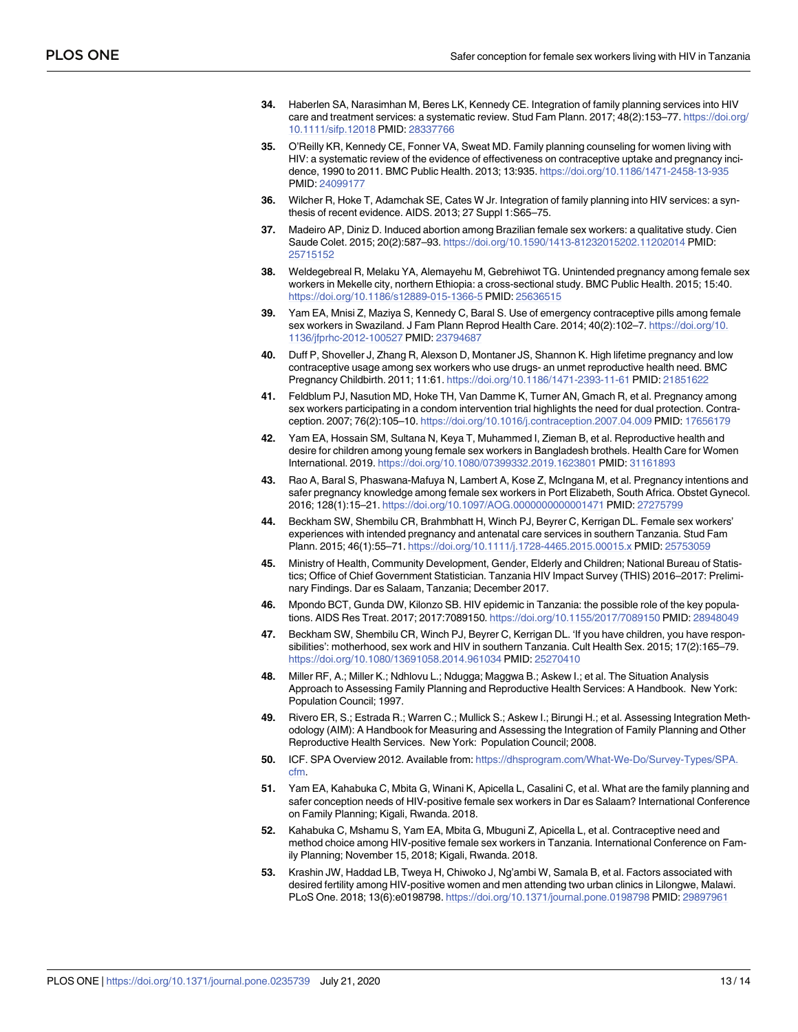- <span id="page-12-0"></span>**34.** Haberlen SA, Narasimhan M, Beres LK, Kennedy CE. Integration of family planning services into HIV care and treatment services: a systematic review. Stud Fam Plann. 2017; 48(2):153–77. [https://doi.org/](https://doi.org/10.1111/sifp.12018) [10.1111/sifp.12018](https://doi.org/10.1111/sifp.12018) PMID: [28337766](http://www.ncbi.nlm.nih.gov/pubmed/28337766)
- **35.** O'Reilly KR, Kennedy CE, Fonner VA, Sweat MD. Family planning counseling for women living with HIV: a systematic review of the evidence of effectiveness on contraceptive uptake and pregnancy incidence, 1990 to 2011. BMC Public Health. 2013; 13:935. <https://doi.org/10.1186/1471-2458-13-935> PMID: [24099177](http://www.ncbi.nlm.nih.gov/pubmed/24099177)
- **[36](#page-1-0).** Wilcher R, Hoke T, Adamchak SE, Cates W Jr. Integration of family planning into HIV services: a synthesis of recent evidence. AIDS. 2013; 27 Suppl 1:S65–75.
- **[37](#page-2-0).** Madeiro AP, Diniz D. Induced abortion among Brazilian female sex workers: a qualitative study. Cien Saude Colet. 2015; 20(2):587–93. <https://doi.org/10.1590/1413-81232015202.11202014> PMID: [25715152](http://www.ncbi.nlm.nih.gov/pubmed/25715152)
- **38.** Weldegebreal R, Melaku YA, Alemayehu M, Gebrehiwot TG. Unintended pregnancy among female sex workers in Mekelle city, northern Ethiopia: a cross-sectional study. BMC Public Health. 2015; 15:40. <https://doi.org/10.1186/s12889-015-1366-5> PMID: [25636515](http://www.ncbi.nlm.nih.gov/pubmed/25636515)
- **39.** Yam EA, Mnisi Z, Maziya S, Kennedy C, Baral S. Use of emergency contraceptive pills among female sex workers in Swaziland. J Fam Plann Reprod Health Care. 2014; 40(2):102–7. [https://doi.org/10.](https://doi.org/10.1136/jfprhc-2012-100527) [1136/jfprhc-2012-100527](https://doi.org/10.1136/jfprhc-2012-100527) PMID: [23794687](http://www.ncbi.nlm.nih.gov/pubmed/23794687)
- **40.** Duff P, Shoveller J, Zhang R, Alexson D, Montaner JS, Shannon K. High lifetime pregnancy and low contraceptive usage among sex workers who use drugs- an unmet reproductive health need. BMC Pregnancy Childbirth. 2011; 11:61. <https://doi.org/10.1186/1471-2393-11-61> PMID: [21851622](http://www.ncbi.nlm.nih.gov/pubmed/21851622)
- **[41](#page-2-0).** Feldblum PJ, Nasution MD, Hoke TH, Van Damme K, Turner AN, Gmach R, et al. Pregnancy among sex workers participating in a condom intervention trial highlights the need for dual protection. Contraception. 2007; 76(2):105–10. <https://doi.org/10.1016/j.contraception.2007.04.009> PMID: [17656179](http://www.ncbi.nlm.nih.gov/pubmed/17656179)
- **[42](#page-2-0).** Yam EA, Hossain SM, Sultana N, Keya T, Muhammed I, Zieman B, et al. Reproductive health and desire for children among young female sex workers in Bangladesh brothels. Health Care for Women International. 2019. <https://doi.org/10.1080/07399332.2019.1623801> PMID: [31161893](http://www.ncbi.nlm.nih.gov/pubmed/31161893)
- **[43](#page-2-0).** Rao A, Baral S, Phaswana-Mafuya N, Lambert A, Kose Z, McIngana M, et al. Pregnancy intentions and safer pregnancy knowledge among female sex workers in Port Elizabeth, South Africa. Obstet Gynecol. 2016; 128(1):15–21. <https://doi.org/10.1097/AOG.0000000000001471> PMID: [27275799](http://www.ncbi.nlm.nih.gov/pubmed/27275799)
- **[44](#page-2-0).** Beckham SW, Shembilu CR, Brahmbhatt H, Winch PJ, Beyrer C, Kerrigan DL. Female sex workers' experiences with intended pregnancy and antenatal care services in southern Tanzania. Stud Fam Plann. 2015; 46(1):55–71. <https://doi.org/10.1111/j.1728-4465.2015.00015.x> PMID: [25753059](http://www.ncbi.nlm.nih.gov/pubmed/25753059)
- **[45](#page-2-0).** Ministry of Health, Community Development, Gender, Elderly and Children; National Bureau of Statistics; Office of Chief Government Statistician. Tanzania HIV Impact Survey (THIS) 2016–2017: Preliminary Findings. Dar es Salaam, Tanzania; December 2017.
- **[46](#page-2-0).** Mpondo BCT, Gunda DW, Kilonzo SB. HIV epidemic in Tanzania: the possible role of the key populations. AIDS Res Treat. 2017; 2017:7089150. <https://doi.org/10.1155/2017/7089150> PMID: [28948049](http://www.ncbi.nlm.nih.gov/pubmed/28948049)
- **[47](#page-2-0).** Beckham SW, Shembilu CR, Winch PJ, Beyrer C, Kerrigan DL. 'If you have children, you have responsibilities': motherhood, sex work and HIV in southern Tanzania. Cult Health Sex. 2015; 17(2):165–79. <https://doi.org/10.1080/13691058.2014.961034> PMID: [25270410](http://www.ncbi.nlm.nih.gov/pubmed/25270410)
- **[48](#page-3-0).** Miller RF, A.; Miller K.; Ndhlovu L.; Ndugga; Maggwa B.; Askew I.; et al. The Situation Analysis Approach to Assessing Family Planning and Reproductive Health Services: A Handbook. New York: Population Council; 1997.
- **[49](#page-3-0).** Rivero ER, S.; Estrada R.; Warren C.; Mullick S.; Askew I.; Birungi H.; et al. Assessing Integration Methodology (AIM): A Handbook for Measuring and Assessing the Integration of Family Planning and Other Reproductive Health Services. New York: Population Council; 2008.
- **[50](#page-3-0).** ICF. SPA Overview 2012. Available from: [https://dhsprogram.com/What-We-Do/Survey-Types/SPA.](https://dhsprogram.com/What-We-Do/Survey-Types/SPA.cfm) [cfm](https://dhsprogram.com/What-We-Do/Survey-Types/SPA.cfm).
- **[51](#page-3-0).** Yam EA, Kahabuka C, Mbita G, Winani K, Apicella L, Casalini C, et al. What are the family planning and safer conception needs of HIV-positive female sex workers in Dar es Salaam? International Conference on Family Planning; Kigali, Rwanda. 2018.
- **[52](#page-3-0).** Kahabuka C, Mshamu S, Yam EA, Mbita G, Mbuguni Z, Apicella L, et al. Contraceptive need and method choice among HIV-positive female sex workers in Tanzania. International Conference on Family Planning; November 15, 2018; Kigali, Rwanda. 2018.
- **[53](#page-4-0).** Krashin JW, Haddad LB, Tweya H, Chiwoko J, Ng'ambi W, Samala B, et al. Factors associated with desired fertility among HIV-positive women and men attending two urban clinics in Lilongwe, Malawi. PLoS One. 2018; 13(6):e0198798. <https://doi.org/10.1371/journal.pone.0198798> PMID: [29897961](http://www.ncbi.nlm.nih.gov/pubmed/29897961)